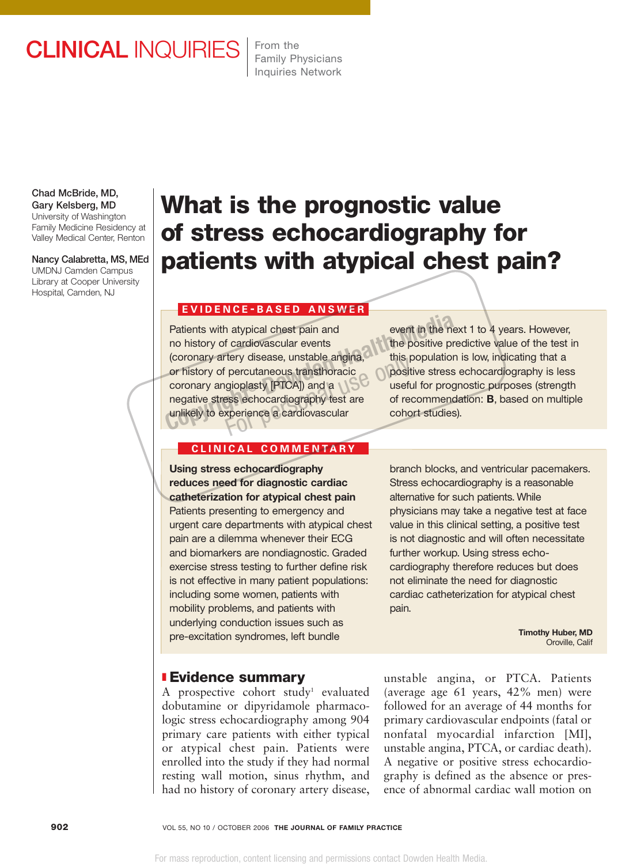# CLINICAL INQUIRIES

From the Family Physicians Inquiries Network

Chad McBride, MD, Gary Kelsberg, MD University of Washington

Family Medicine Residency at Valley Medical Center, Renton

Nancy Calabretta, MS, MEd UMDNJ Camden Campus Library at Cooper University

Hospital, Camden, NJ

# **What is the prognostic value of stress echocardiography for patients with atypical chest pain?**

### **EVIDENCE - BASED ANSWER**

Patients with atypical chest pain and no history of cardiovascular events (coronary artery disease, unstable angina, or history of percutaneous transthoracic coronary angioplasty [PTCA]) and a negative stress echocardiography test are unlikely to experience a cardiovascular Patients with atypical chest pain and<br>
no history of cardiovascular events<br>
(coronary artery disease, unstable angina,<br>
or history of percutaneous transitional<br>
coronary angioplasty [PTCA]) and a<br>
negative stress echocardi

event in the next 1 to 4 years. However, the positive predictive value of the test in this population is low, indicating that a positive stress echocardiography is less useful for prognostic purposes (strength of recommendation: **B**, based on multiple cohort studies).

#### **CLINICAL COMMENT ARY**

**Using stress echocardiography reduces need for diagnostic cardiac catheterization for atypical chest pain** Patients presenting to emergency and urgent care departments with atypical chest pain are a dilemma whenever their ECG and biomarkers are nondiagnostic. Graded exercise stress testing to further define risk is not effective in many patient populations: including some women, patients with mobility problems, and patients with underlying conduction issues such as pre-excitation syndromes, left bundle

# ❚ **Evidence summary**

A prospective cohort study<sup>1</sup> evaluated dobutamine or dipyridamole pharmacologic stress echocardiography among 904 primary care patients with either typical or atypical chest pain. Patients were enrolled into the study if they had normal resting wall motion, sinus rhythm, and had no history of coronary artery disease,

branch blocks, and ventricular pacemakers. Stress echocardiography is a reasonable alternative for such patients. While physicians may take a negative test at face value in this clinical setting, a positive test is not diagnostic and will often necessitate further workup. Using stress echocardiography therefore reduces but does not eliminate the need for diagnostic cardiac catheterization for atypical chest pain.

> **Timothy Huber, MD** Oroville, Calif

unstable angina, or PTCA. Patients (average age 61 years, 42% men) were followed for an average of 44 months for primary cardiovascular endpoints (fatal or nonfatal myocardial infarction [MI], unstable angina, PTCA, or cardiac death). A negative or positive stress echocardiography is defined as the absence or presence of abnormal cardiac wall motion on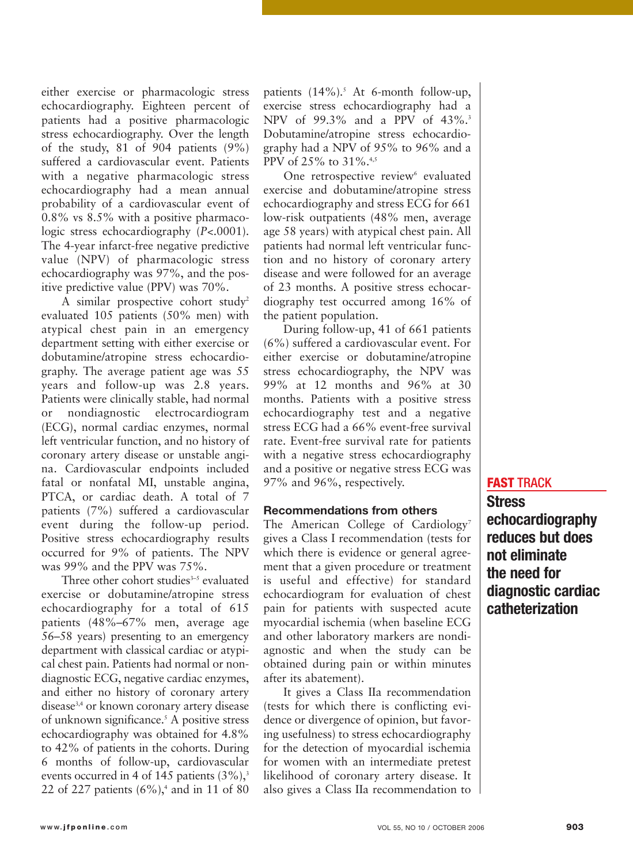either exercise or pharmacologic stress echocardiography. Eighteen percent of patients had a positive pharmacologic stress echocardiography. Over the length of the study, 81 of 904 patients (9%) suffered a cardiovascular event. Patients with a negative pharmacologic stress echocardiography had a mean annual probability of a cardiovascular event of 0.8% vs 8.5% with a positive pharmacologic stress echocardiography (*P*<.0001). The 4-year infarct-free negative predictive value (NPV) of pharmacologic stress echocardiography was 97%, and the positive predictive value (PPV) was 70%.

A similar prospective cohort study<sup>2</sup> evaluated 105 patients (50% men) with atypical chest pain in an emergency department setting with either exercise or dobutamine/atropine stress echocardiography. The average patient age was 55 years and follow-up was 2.8 years. Patients were clinically stable, had normal or nondiagnostic electrocardiogram (ECG), normal cardiac enzymes, normal left ventricular function, and no history of coronary artery disease or unstable angina. Cardiovascular endpoints included fatal or nonfatal MI, unstable angina, PTCA, or cardiac death. A total of 7 patients (7%) suffered a cardiovascular event during the follow-up period. Positive stress echocardiography results occurred for 9% of patients. The NPV was 99% and the PPV was 75%.

Three other cohort studies $3-5$  evaluated exercise or dobutamine/atropine stress echocardiography for a total of 615 patients (48%–67% men, average age 56–58 years) presenting to an emergency department with classical cardiac or atypical chest pain. Patients had normal or nondiagnostic ECG, negative cardiac enzymes, and either no history of coronary artery disease3,4 or known coronary artery disease of unknown significance.<sup>5</sup> A positive stress echocardiography was obtained for 4.8% to 42% of patients in the cohorts. During 6 months of follow-up, cardiovascular events occurred in 4 of 145 patients  $(3\%)$ ,<sup>3</sup> 22 of 227 patients  $(6\%)$ ,<sup>4</sup> and in 11 of 80

patients  $(14\%)$ .<sup>5</sup> At 6-month follow-up, exercise stress echocardiography had a NPV of 99.3% and a PPV of 43%.<sup>3</sup> Dobutamine/atropine stress echocardiography had a NPV of 95% to 96% and a PPV of 25% to 31%.<sup>4,5</sup>

One retrospective review<sup>6</sup> evaluated exercise and dobutamine/atropine stress echocardiography and stress ECG for 661 low-risk outpatients (48% men, average age 58 years) with atypical chest pain. All patients had normal left ventricular function and no history of coronary artery disease and were followed for an average of 23 months. A positive stress echocardiography test occurred among 16% of the patient population.

During follow-up, 41 of 661 patients (6%) suffered a cardiovascular event. For either exercise or dobutamine/atropine stress echocardiography, the NPV was 99% at 12 months and 96% at 30 months. Patients with a positive stress echocardiography test and a negative stress ECG had a 66% event-free survival rate. Event-free survival rate for patients with a negative stress echocardiography and a positive or negative stress ECG was 97% and 96%, respectively.

### **Recommendations from others**

The American College of Cardiology<sup>7</sup> gives a Class I recommendation (tests for which there is evidence or general agreement that a given procedure or treatment is useful and effective) for standard echocardiogram for evaluation of chest pain for patients with suspected acute myocardial ischemia (when baseline ECG and other laboratory markers are nondiagnostic and when the study can be obtained during pain or within minutes after its abatement).

It gives a Class IIa recommendation (tests for which there is conflicting evidence or divergence of opinion, but favoring usefulness) to stress echocardiography for the detection of myocardial ischemia for women with an intermediate pretest likelihood of coronary artery disease. It also gives a Class IIa recommendation to

## **FAST** TRACK

**Stress echocardiography reduces but does not eliminate the need for diagnostic cardiac catheterization**